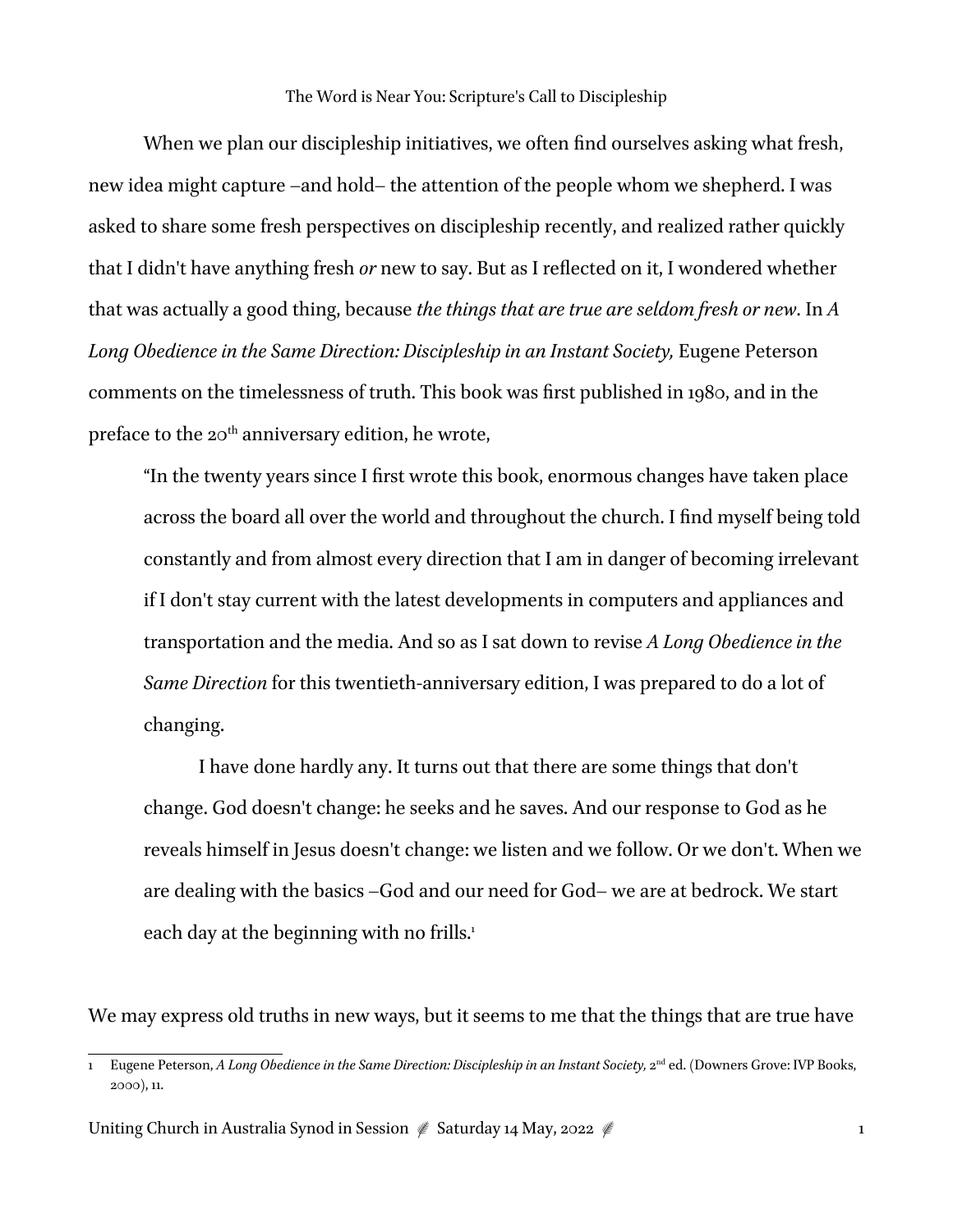When we plan our discipleship initiatives, we often find ourselves asking what fresh, new idea might capture –and hold– the attention of the people whom we shepherd. I was asked to share some fresh perspectives on discipleship recently, and realized rather quickly that I didn't have anything fresh *or* new to say. But as I reflected on it, I wondered whether that was actually a good thing, because *the things that are true are seldom fresh or new*. In *A*  Long Obedience in the Same Direction: Discipleship in an Instant Society, Eugene Peterson comments on the timelessness of truth. This book was first published in 1980, and in the preface to the  $20<sup>th</sup>$  anniversary edition, he wrote,

"In the twenty years since I first wrote this book, enormous changes have taken place across the board all over the world and throughout the church. I find myself being told constantly and from almost every direction that I am in danger of becoming irrelevant if I don't stay current with the latest developments in computers and appliances and transportation and the media. And so as I sat down to revise *A Long Obedience in the Same Direction* for this twentieth-anniversary edition, I was prepared to do a lot of changing.

I have done hardly any. It turns out that there are some things that don't change. God doesn't change: he seeks and he saves. And our response to God as he reveals himself in Jesus doesn't change: we listen and we follow. Or we don't. When we are dealing with the basics –God and our need for God– we are at bedrock. We start each day at the beginning with no frills.<sup>1</sup>

We may express old truths in new ways, but it seems to me that the things that are true have

Uniting Church in Australia Synod in Session it Saturday 14 May, 2022 it is a matching Church in Australia Synod in Session it Saturday 14 May, 2022 it is a matching of the United Synod in Session in Saturday 14 May, 2022

<sup>1</sup> Eugene Peterson, *A Long Obedience in the Same Direction: Discipleship in an Instant Society,* 2nd ed. (Downers Grove: IVP Books, 2000), 11.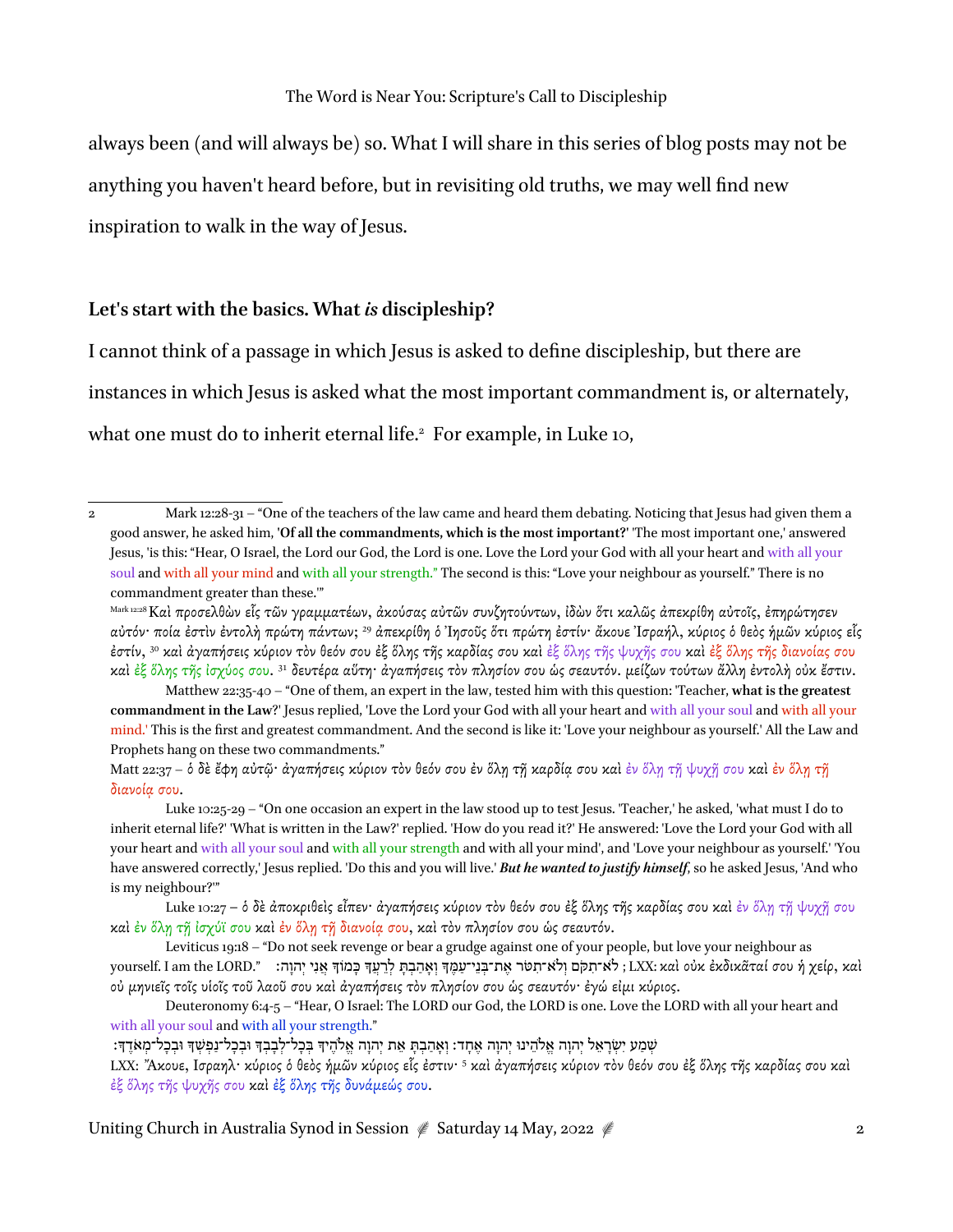always been (and will always be) so. What I will share in this series of blog posts may not be anything you haven't heard before, but in revisiting old truths, we may well find new inspiration to walk in the way of Jesus.

## **Let's start with the basics. What** *is* **discipleship?**

I cannot think of a passage in which Jesus is asked to define discipleship, but there are instances in which Jesus is asked what the most important commandment is, or alternately, what one must do to inherit eternal life.<sup>2</sup> For example, in Luke 10,

Matt 22:37 – ὁ δὲ ἔφη αὐτῷ· ἀγαπήσεις κύριον τὸν θεόν σου ἐν ὅλῃ τῇ καρδία σου καὶ ἐν ὅλῃ τj ψυχῇ σου καὶ ἐν ὅλῃ τῇ διανοίᾳ σου.

Luke 10:25-29 – "On one occasion an expert in the law stood up to test Jesus. 'Teacher,' he asked, 'what must I do to inherit eternal life?' 'What is written in the Law?' replied. 'How do you read it?' He answered: 'Love the Lord your God with all your heart and with all your soul and with all your strength and with all your mind', and 'Love your neighbour as yourself.' 'You have answered correctly,' Jesus replied. 'Do this and you will live.' *But he wanted to justify himself*, so he asked Jesus, 'And who is my neighbour?'"

Luke 10:27 – ὁ δὲ ἀποκριθεὶς εἶπεν· ἀγαπήσεις κύριον τὸν θεόν σου ἐξ ὅλης τῆς καρδίας σου καὶ ἐν ὅλῃ τῇ ψυχῇ σου καὶ ἐν ὅλῃ τῇ ἰσχύϊ σου καὶ ἐν ὅλῃ τῇ διανοίᾳ σου, καὶ τὸν πλησίον σου ὡς σεαυτόν.

Leviticus 19:18 – "Do not seek revenge or bear a grudge against one of your people, but love your neighbour as yourself. I am the LORD." אֲנִי יְהוָה׃ «ταὶ οὐκ ἐκδικᾶταί σου ἡ χείρ, καὶ (אֲ יִהוָה "עַמֶּ לְרֵעֵךְ כָּמוֹךָ אֲנִי יְהוַה οὐ µηνιεῖς τοῖς υἱοῖς τοῦ λαοῦ σου καὶ ἀγαπήσεις τὸν πλησίον σου ὡς σεαυτόν· ἐγώ εἰµι κύριος.

Deuteronomy 6:4-5 – "Hear, O Israel: The LORD our God, the LORD is one. Love the LORD with all your heart and with all your soul and with all your strength."

ְשְׁמֵע יִשְׂרָאֵל יְהוָה אֱלֹהֶינוּ יְהוָה אֶחָד: וְאֶהֶבְתָּ אֶת יְהוָה אֱלֹהֵיךָ בְּכָל־לָבָבְךָ וּבְכָל־נַפְשָׁךָ וּבְכָל־מְאֹדֶךָ:

LXX: Ἄκουε, Ισραηλ· κύριος ὁ θεὸς ἡµῶν κύριος εἷς ἐστιν· <sup>5</sup> καὶ ἀγαπήσεις κύριον τὸν θεόν σου ἐξ ὅλης τῆς καρδίας σου καὶ ἐξ ὅλης τῆς ψυχῆς σου καὶ ἐξ ὅλης τῆς δυνάµεώς σου.

Uniting Church in Australia Synod in Session ≰ Saturday 14 May, 2022 ≰

<sup>2</sup> Mark 12:28-31 – "One of the teachers of the law came and heard them debating. Noticing that Jesus had given them a good answer, he asked him, **'Of all the commandments, which is the most important?'** 'The most important one,' answered Jesus, 'is this: "Hear, O Israel, the Lord our God, the Lord is one. Love the Lord your God with all your heart and with all your soul and with all your mind and with all your strength." The second is this: "Love your neighbour as yourself." There is no commandment greater than these.'"

Mark 12:28 Καὶ προσελθὼν εἷς τῶν γραµµατέων, ἀκούσας αὐτῶν συνζητούντων, ἰδὼν ὅτι καλῶς ἀπεκρίθη αὐτοῖς, ἐπηρώτησεν αὐτόν· ποία ἐστὶν ἐντολὴ πρώτη πάντων; 29 ἀπεκρίθη ὁ Ἰησοῦς ὅτι πρώτη ἐστίν· ἄκουε Ἰσραήλ, κύριος ὁ θεὸς ἡµῶν κύριος εἷς ἐστίν, 30 καὶ ἀγαπήσεις κύριον τὸν θεόν σου ἐξ ὅλης τῆς καρδίας σου καὶ ἐξ ὅλης τῆς ψυχῆς σου καὶ ἐξ ὅλης τῆς διανοίας σου καὶ ἐξ ὅλης τῆς ἰσχύος σου. 31 δευτέρα αὕτη· ἀγαπήσεις τὸν πλησίον σου ὡς σεαυτόν. µείζων τούτων ἄλλη ἐντολὴ οὐκ ἔστιν.

Matthew 22:35-40 – "One of them, an expert in the law, tested him with this question: 'Teacher, **what is the greatest commandment in the Law**?' Jesus replied, 'Love the Lord your God with all your heart and with all your soul and with all your mind.' This is the first and greatest commandment. And the second is like it: 'Love your neighbour as yourself.' All the Law and Prophets hang on these two commandments."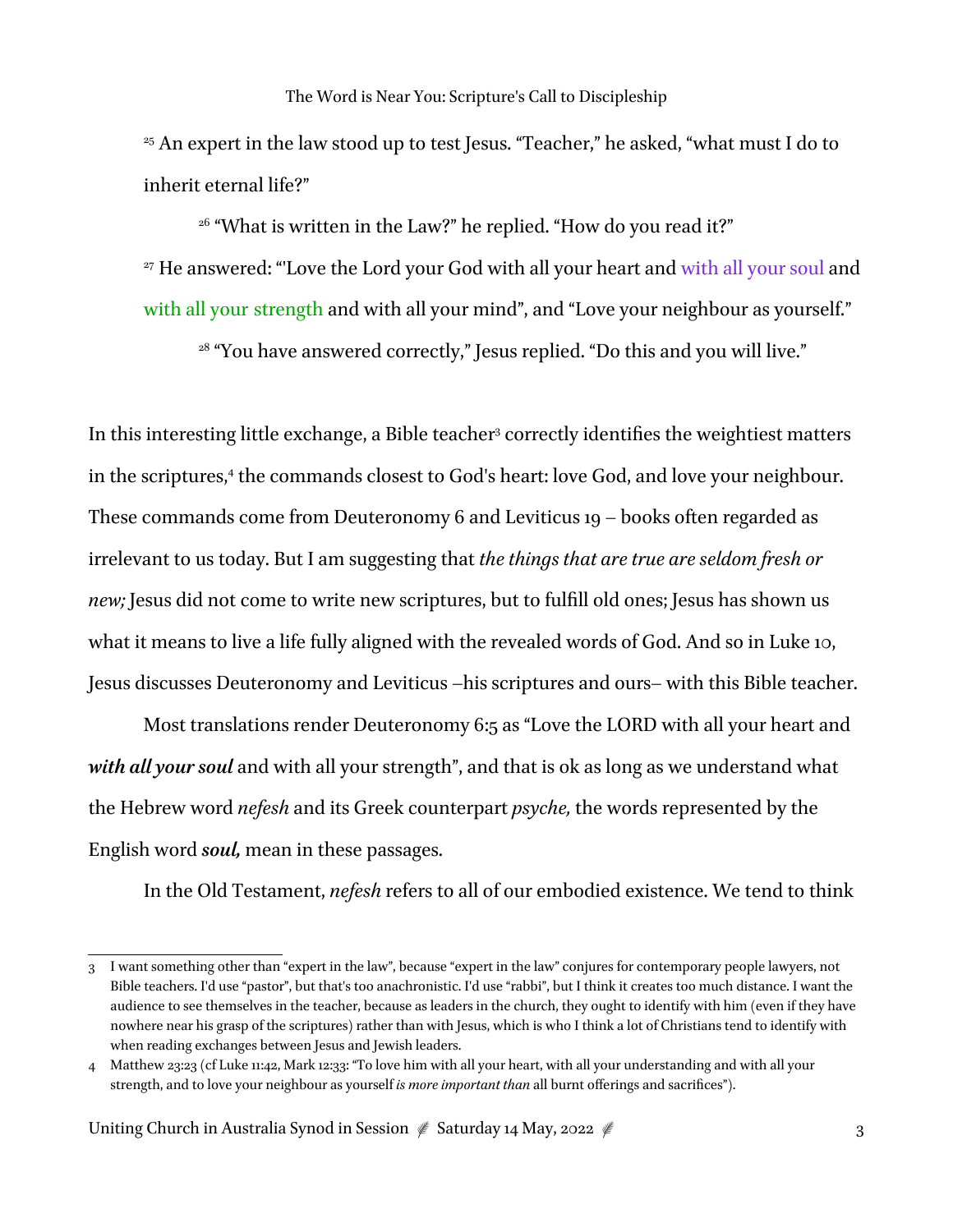<sup>25</sup> An expert in the law stood up to test Jesus. "Teacher," he asked, "what must I do to inherit eternal life?"

<sup>26</sup> "What is written in the Law?" he replied. "How do you read it?" <sup>27</sup> He answered: "Love the Lord your God with all your heart and with all your soul and with all your strength and with all your mind", and "Love your neighbour as yourself."

<sup>28</sup> "You have answered correctly," Jesus replied. "Do this and you will live."

In this interesting little exchange, a Bible teacher<sup>3</sup> correctly identifies the weightiest matters in the scriptures,4 the commands closest to God's heart: love God, and love your neighbour. These commands come from Deuteronomy 6 and Leviticus 19 – books often regarded as irrelevant to us today. But I am suggesting that *the things that are true are seldom fresh or new;* Jesus did not come to write new scriptures, but to fulfill old ones; Jesus has shown us what it means to live a life fully aligned with the revealed words of God. And so in Luke 10, Jesus discusses Deuteronomy and Leviticus –his scriptures and ours– with this Bible teacher.

Most translations render Deuteronomy 6:5 as "Love the LORD with all your heart and *with all your soul* and with all your strength", and that is ok as long as we understand what the Hebrew word *nefesh* and its Greek counterpart *psyche,* the words represented by the English word *soul,* mean in these passages.

In the Old Testament, *nefesh* refers to all of our embodied existence. We tend to think

<sup>3</sup> I want something other than "expert in the law", because "expert in the law" conjures for contemporary people lawyers, not Bible teachers. I'd use "pastor", but that's too anachronistic. I'd use "rabbi", but I think it creates too much distance. I want the audience to see themselves in the teacher, because as leaders in the church, they ought to identify with him (even if they have nowhere near his grasp of the scriptures) rather than with Jesus, which is who I think a lot of Christians tend to identify with when reading exchanges between Jesus and Jewish leaders.

<sup>4</sup> Matthew 23:23 (cf Luke 11:42, Mark 12:33: "To love him with all your heart, with all your understanding and with all your strength, and to love your neighbour as yourself *is more important than* all burnt offerings and sacrifices").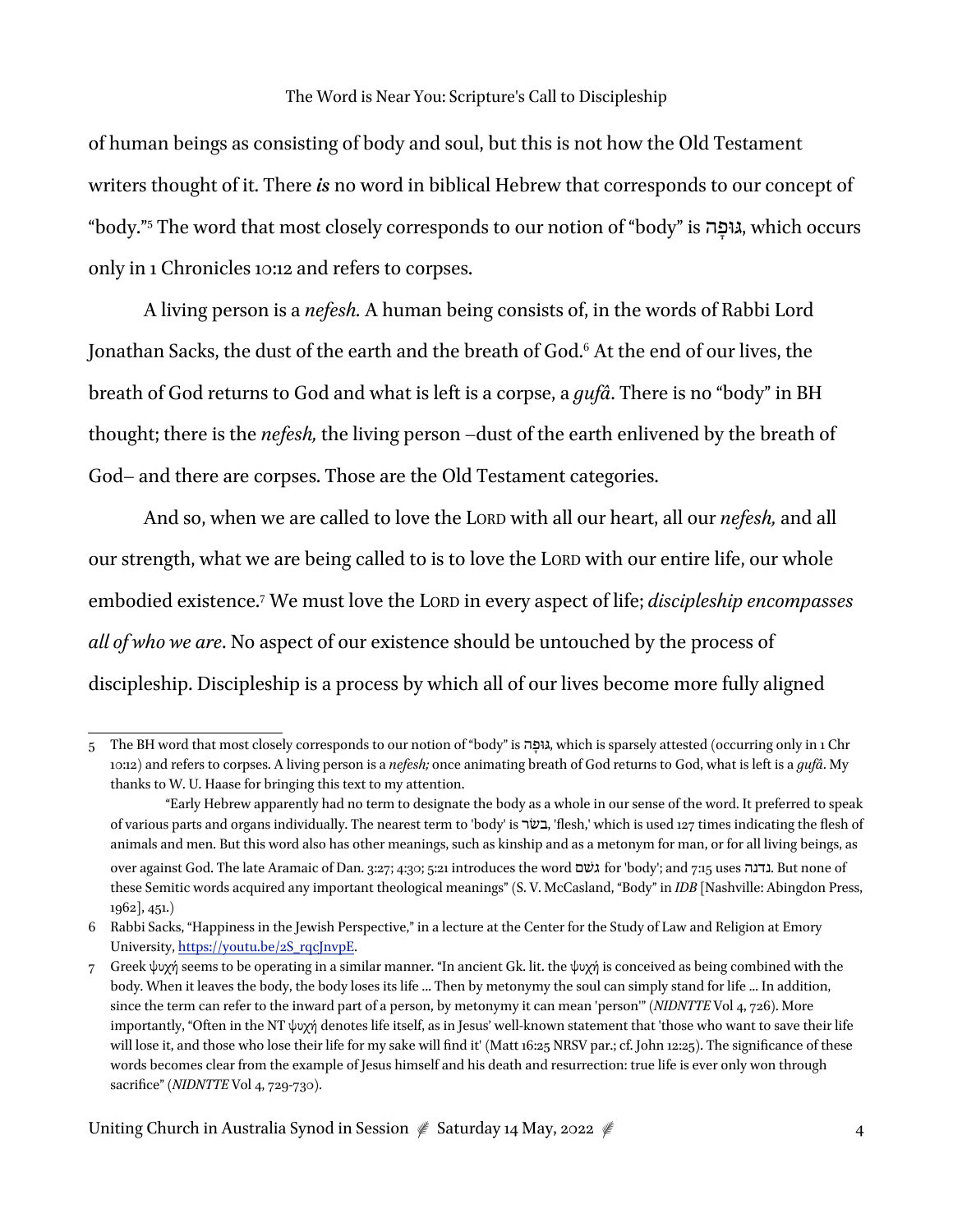of human beings as consisting of body and soul, but this is not how the Old Testament writers thought of it. There *is* no word in biblical Hebrew that corresponds to our concept of "body."5 The word that most closely corresponds to our notion of "body" is ה ָגּוּפ, which occurs only in 1 Chronicles 10:12 and refers to corpses.

A living person is a *nefesh.* A human being consists of, in the words of Rabbi Lord Jonathan Sacks, the dust of the earth and the breath of God.<sup>6</sup> At the end of our lives, the breath of God returns to God and what is left is a corpse, a *gufâ*. There is no "body" in BH thought; there is the *nefesh,* the living person –dust of the earth enlivened by the breath of God– and there are corpses. Those are the Old Testament categories.

And so, when we are called to love the LORD with all our heart, all our *nefesh,* and all our strength, what we are being called to is to love the LORD with our entire life, our whole embodied existence.7 We must love the LORD in every aspect of life; *discipleship encompasses all of who we are*. No aspect of our existence should be untouched by the process of discipleship. Discipleship is a process by which all of our lives become more fully aligned

<sup>5</sup> The BH word that most closely corresponds to our notion of "body" is ה ָגּוּפ, which is sparsely attested (occurring only in 1 Chr 10:12) and refers to corpses. A living person is a *nefesh;* once animating breath of God returns to God, what is left is a *gufâ*. My thanks to W. U. Haase for bringing this text to my attention.

<sup>&</sup>quot;Early Hebrew apparently had no term to designate the body as a whole in our sense of the word. It preferred to speak of various parts and organs individually. The nearest term to 'body' is בשׂר,' flesh,' which is used 127 times indicating the flesh of animals and men. But this word also has other meanings, such as kinship and as a metonym for man, or for all living beings, as over against God. The late Aramaic of Dan. 3:27; 4:30; 5:21 introduces the word גשׁם for 'body'; and 7:15 uses נדנה. But none of these Semitic words acquired any important theological meanings" (S. V. McCasland, "Body" in *IDB* [Nashville: Abingdon Press, 1962], 451.)

<sup>6</sup> Rabbi Sacks, "Happiness in the Jewish Perspective," in a lecture at the Center for the Study of Law and Religion at Emory University, https://youtu.be/2S\_rqcJnvpE.

<sup>7</sup> Greek ψυχή seems to be operating in a similar manner. "In ancient Gk. lit. the ψυχή is conceived as being combined with the body. When it leaves the body, the body loses its life ... Then by metonymy the soul can simply stand for life ... In addition, since the term can refer to the inward part of a person, by metonymy it can mean 'person'" (*NIDNTTE* Vol 4, 726). More importantly, "Often in the NT ψυχή denotes life itself, as in Jesus' well-known statement that 'those who want to save their life will lose it, and those who lose their life for my sake will find it' (Matt 16:25 NRSV par.; cf. John 12:25). The significance of these words becomes clear from the example of Jesus himself and his death and resurrection: true life is ever only won through sacrifice" (*NIDNTTE* Vol 4, 729-730).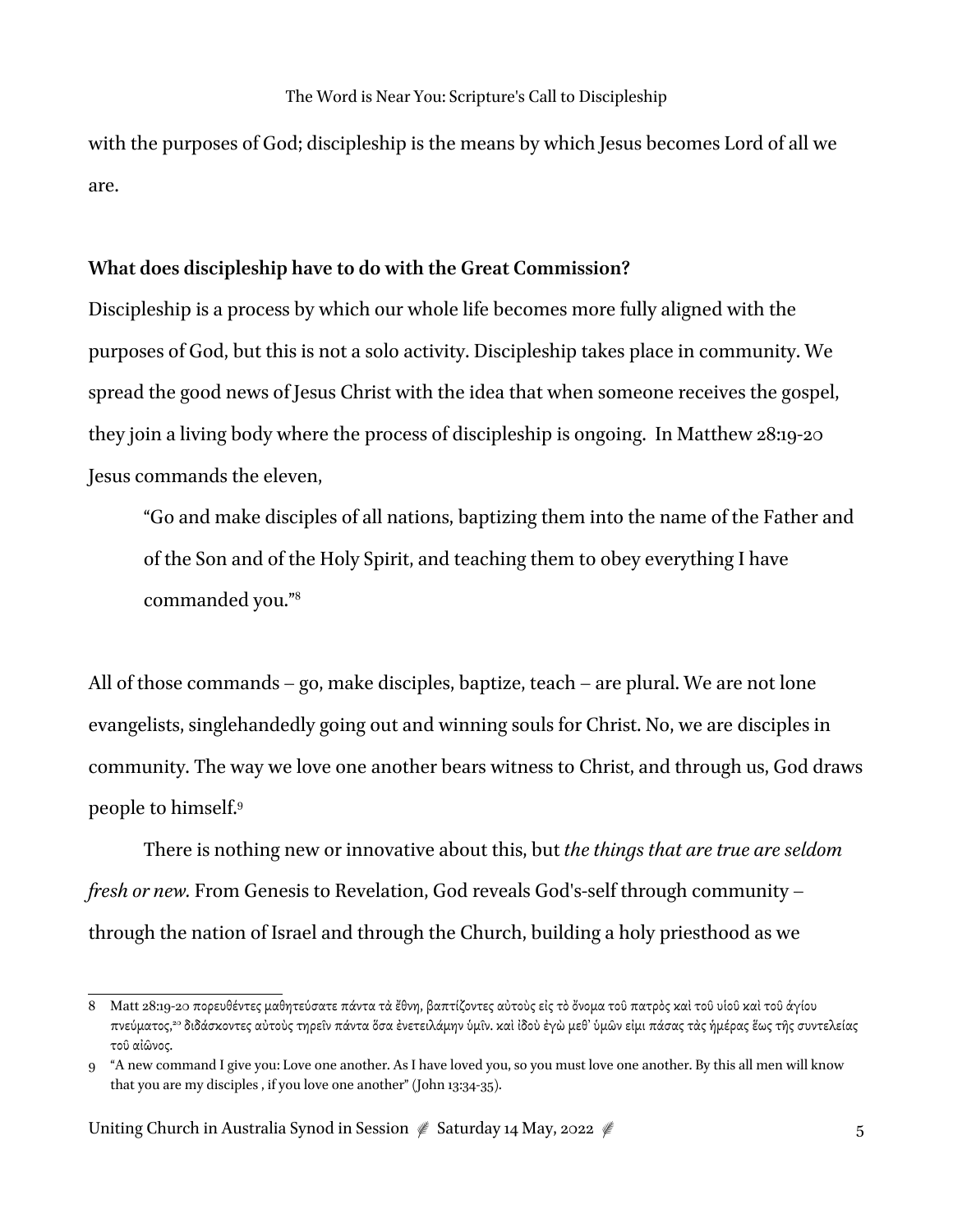with the purposes of God; discipleship is the means by which Jesus becomes Lord of all we are.

### **What does discipleship have to do with the Great Commission?**

Discipleship is a process by which our whole life becomes more fully aligned with the purposes of God, but this is not a solo activity. Discipleship takes place in community. We spread the good news of Jesus Christ with the idea that when someone receives the gospel, they join a living body where the process of discipleship is ongoing. In Matthew 28:19-20 Jesus commands the eleven,

"Go and make disciples of all nations, baptizing them into the name of the Father and of the Son and of the Holy Spirit, and teaching them to obey everything I have commanded you."8

All of those commands – go, make disciples, baptize, teach – are plural. We are not lone evangelists, singlehandedly going out and winning souls for Christ. No, we are disciples in community. The way we love one another bears witness to Christ, and through us, God draws people to himself.9

There is nothing new or innovative about this, but *the things that are true are seldom fresh or new.* From Genesis to Revelation, God reveals God's-self through community – through the nation of Israel and through the Church, building a holy priesthood as we

<sup>8</sup> Matt 28:19-20 πορευθέντες µαθητεύσατε πάντα τὰ ἔθνη, βαπτίζοντες αὐτοὺς εἰς τὸὄνοµα τοῦ πατρὸς καὶ τοῦ υἱοῦ καὶ τοῦ ἁγίου πνεύµατος, **<sup>20</sup>** διδάσκοντες αὐτοὺς τηρεῖν πάντα ὅσα ἐνετειλάµην ὑµῖν. καὶ ἰδοὺ ἐγὼ µεθ' ὑµῶν εἰµι πάσας τὰς ἡµέρας ἕως τῆς συντελείας τοῦ αἰῶνος.

<sup>9</sup> "A new command I give you: Love one another. As I have loved you, so you must love one another. By this all men will know that you are my disciples , if you love one another" (John 13:34-35).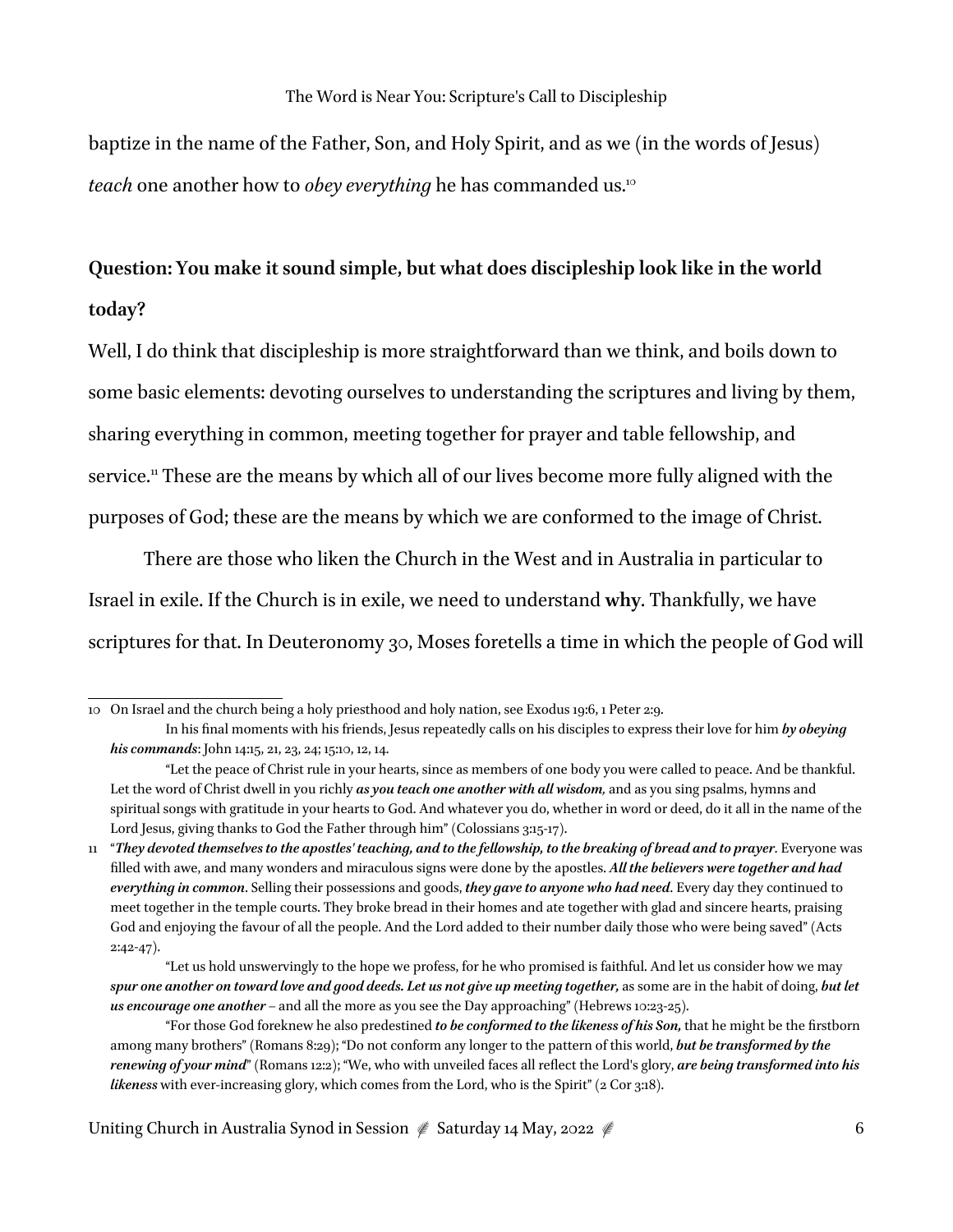baptize in the name of the Father, Son, and Holy Spirit, and as we (in the words of Jesus) *teach* one another how to *obey everything* he has commanded us.10

# **Question: You make it sound simple, but what does discipleship look like in the world today?**

Well, I do think that discipleship is more straightforward than we think, and boils down to some basic elements: devoting ourselves to understanding the scriptures and living by them, sharing everything in common, meeting together for prayer and table fellowship, and service.<sup>11</sup> These are the means by which all of our lives become more fully aligned with the purposes of God; these are the means by which we are conformed to the image of Christ.

There are those who liken the Church in the West and in Australia in particular to Israel in exile. If the Church is in exile, we need to understand **why**. Thankfully, we have scriptures for that. In Deuteronomy 30, Moses foretells a time in which the people of God will

<sup>10</sup> On Israel and the church being a holy priesthood and holy nation, see Exodus 19:6, 1 Peter 2:9.

In his final moments with his friends, Jesus repeatedly calls on his disciples to express their love for him *by obeying his commands*: John 14:15, 21, 23, 24; 15:10, 12, 14.

<sup>&</sup>quot;Let the peace of Christ rule in your hearts, since as members of one body you were called to peace. And be thankful. Let the word of Christ dwell in you richly *as you teach one another with all wisdom,* and as you sing psalms, hymns and spiritual songs with gratitude in your hearts to God. And whatever you do, whether in word or deed, do it all in the name of the Lord Jesus, giving thanks to God the Father through him" (Colossians 3:15-17).

<sup>11</sup> "*They devoted themselves to the apostles' teaching, and to the fellowship, to the breaking of bread and to prayer*. Everyone was filled with awe, and many wonders and miraculous signs were done by the apostles. *All the believers were together and had everything in common*. Selling their possessions and goods, *they gave to anyone who had need*. Every day they continued to meet together in the temple courts. They broke bread in their homes and ate together with glad and sincere hearts, praising God and enjoying the favour of all the people. And the Lord added to their number daily those who were being saved" (Acts 2:42-47).

<sup>&</sup>quot;Let us hold unswervingly to the hope we profess, for he who promised is faithful. And let us consider how we may *spur one another on toward love and good deeds. Let us not give up meeting together,* as some are in the habit of doing, *but let us encourage one another –* and all the more as you see the Day approaching" (Hebrews 10:23-25).

<sup>&</sup>quot;For those God foreknew he also predestined *to be conformed to the likeness of his Son,* that he might be the firstborn among many brothers" (Romans 8:29); "Do not conform any longer to the pattern of this world, *but be transformed by the renewing of your mind*" (Romans 12:2); "We, who with unveiled faces all reflect the Lord's glory, *are being transformed into his likeness* with ever-increasing glory, which comes from the Lord, who is the Spirit" (2 Cor 3:18).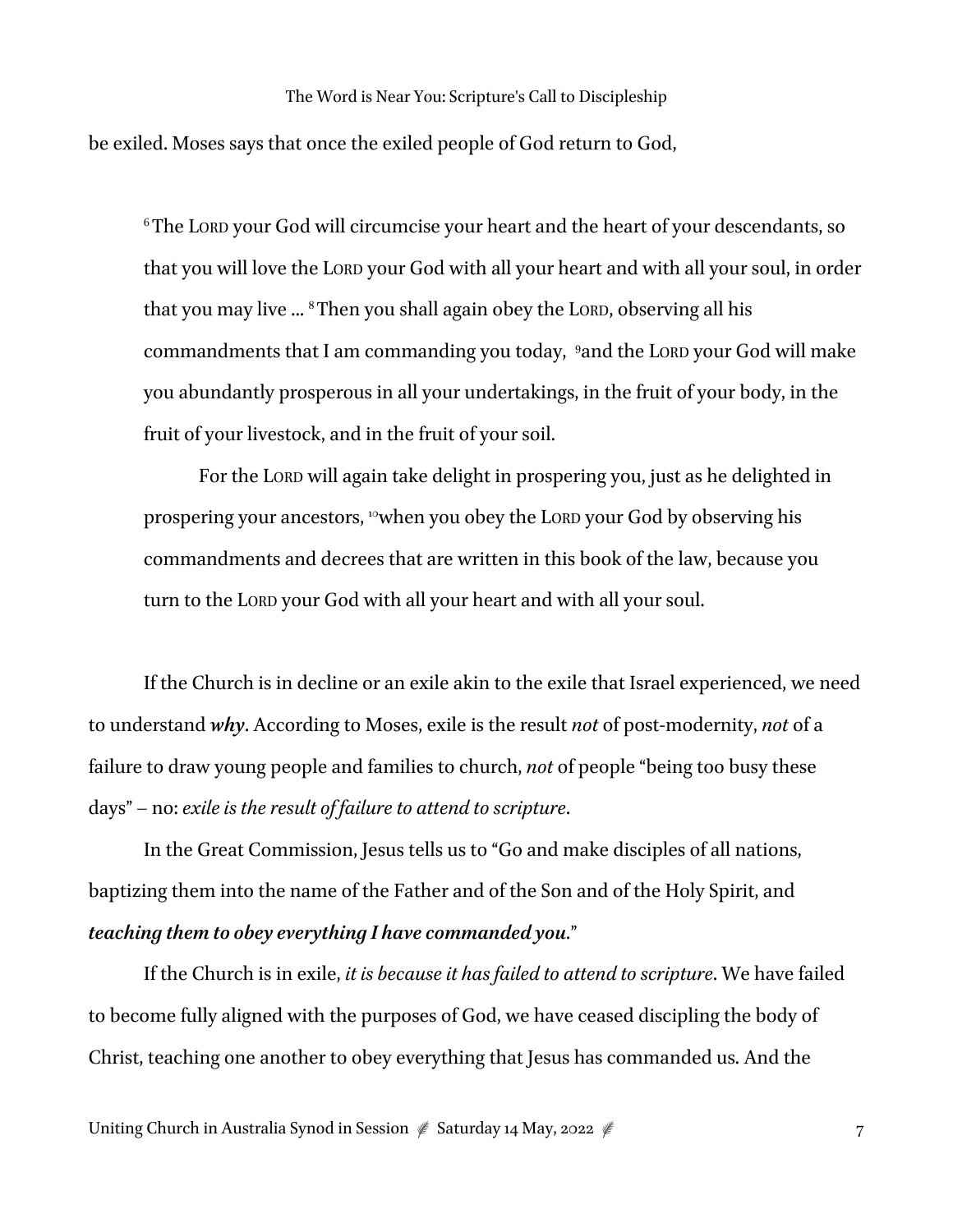be exiled. Moses says that once the exiled people of God return to God,

6 The LORD your God will circumcise your heart and the heart of your descendants, so that you will love the LORD your God with all your heart and with all your soul, in order that you may live ... 8 Then you shall again obey the LORD, observing all his commandments that I am commanding you today, 9 and the LORD your God will make you abundantly prosperous in all your undertakings, in the fruit of your body, in the fruit of your livestock, and in the fruit of your soil.

For the LORD will again take delight in prospering you, just as he delighted in prospering your ancestors, <sup>10</sup>when you obey the LORD your God by observing his commandments and decrees that are written in this book of the law, because you turn to the LORD your God with all your heart and with all your soul.

If the Church is in decline or an exile akin to the exile that Israel experienced, we need to understand *why*. According to Moses, exile is the result *not* of post-modernity, *not* of a failure to draw young people and families to church, *not* of people "being too busy these days" – no: *exile is the result of failure to attend to scripture*.

In the Great Commission, Jesus tells us to "Go and make disciples of all nations, baptizing them into the name of the Father and of the Son and of the Holy Spirit, and *teaching them to obey everything I have commanded you*."

If the Church is in exile, *it is because it has failed to attend to scripture*. We have failed to become fully aligned with the purposes of God, we have ceased discipling the body of Christ, teaching one another to obey everything that Jesus has commanded us. And the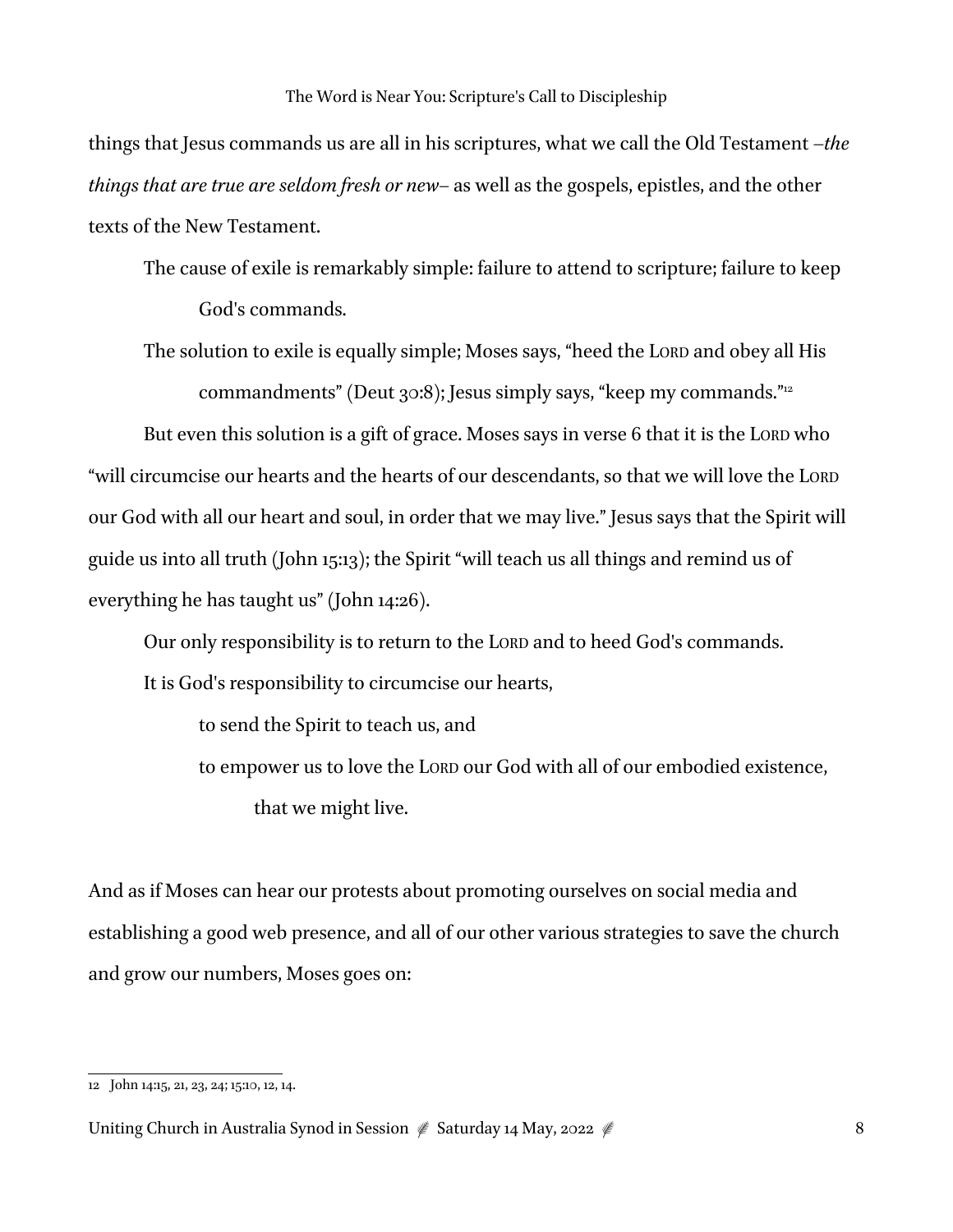things that Jesus commands us are all in his scriptures, what we call the Old Testament –*the things that are true are seldom fresh or new–* as well as the gospels, epistles, and the other texts of the New Testament.

The cause of exile is remarkably simple: failure to attend to scripture; failure to keep God's commands.

The solution to exile is equally simple; Moses says, "heed the LORD and obey all His commandments" (Deut 30:8); Jesus simply says, "keep my commands."<sup>12</sup>

But even this solution is a gift of grace. Moses says in verse 6 that it is the LORD who "will circumcise our hearts and the hearts of our descendants, so that we will love the LORD our God with all our heart and soul, in order that we may live." Jesus says that the Spirit will guide us into all truth (John 15:13); the Spirit "will teach us all things and remind us of everything he has taught us" (John 14:26).

Our only responsibility is to return to the LORD and to heed God's commands. It is God's responsibility to circumcise our hearts,

to send the Spirit to teach us, and

to empower us to love the LORD our God with all of our embodied existence, that we might live.

And as if Moses can hear our protests about promoting ourselves on social media and establishing a good web presence, and all of our other various strategies to save the church and grow our numbers, Moses goes on:

<sup>12</sup> John 14:15, 21, 23, 24; 15:10, 12, 14.

Uniting Church in Australia Synod in Session  $\frac{1}{2}$  Saturday 14 May, 2022  $\frac{1}{2}$  8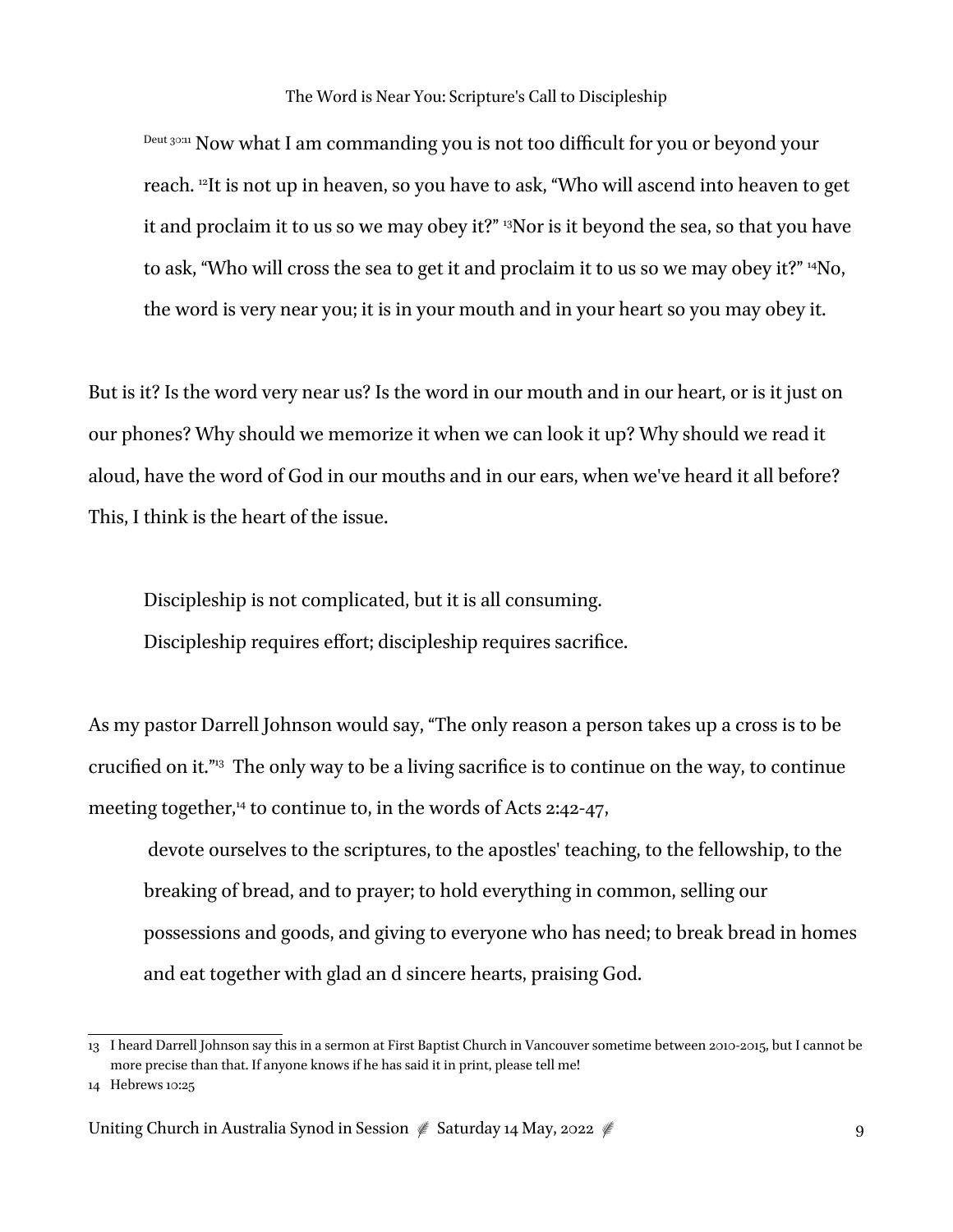Deut 30:11 Now what I am commanding you is not too difficult for you or beyond your reach. 12It is not up in heaven, so you have to ask, "Who will ascend into heaven to get it and proclaim it to us so we may obey it?" 13Nor is it beyond the sea, so that you have to ask, "Who will cross the sea to get it and proclaim it to us so we may obey it?" 14No, the word is very near you; it is in your mouth and in your heart so you may obey it.

But is it? Is the word very near us? Is the word in our mouth and in our heart, or is it just on our phones? Why should we memorize it when we can look it up? Why should we read it aloud, have the word of God in our mouths and in our ears, when we've heard it all before? This, I think is the heart of the issue.

Discipleship is not complicated, but it is all consuming. Discipleship requires effort; discipleship requires sacrifice.

As my pastor Darrell Johnson would say, "The only reason a person takes up a cross is to be crucified on it."13 The only way to be a living sacrifice is to continue on the way, to continue meeting together,<sup>14</sup> to continue to, in the words of Acts 2:42-47,

 devote ourselves to the scriptures, to the apostles' teaching, to the fellowship, to the breaking of bread, and to prayer; to hold everything in common, selling our possessions and goods, and giving to everyone who has need; to break bread in homes and eat together with glad an d sincere hearts, praising God.

<sup>13</sup> I heard Darrell Johnson say this in a sermon at First Baptist Church in Vancouver sometime between 2010-2015, but I cannot be more precise than that. If anyone knows if he has said it in print, please tell me!

<sup>14</sup> Hebrews 10:25